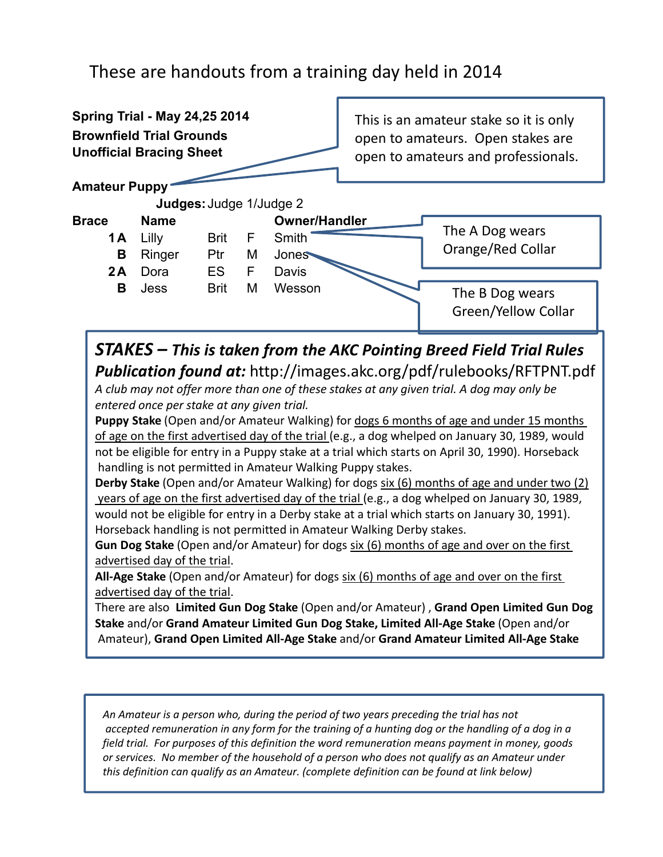## These are handouts from a training day held in 2014



### *STAKES – This is taken from the AKC Pointing Breed Field Trial Rules Publication found at:* http://images.akc.org/pdf/rulebooks/RFTPNT.pdf

*A club may not offer more than one of these stakes at any given trial. A dog may only be entered once per stake at any given trial.*

**Puppy Stake** (Open and/or Amateur Walking) for dogs 6 months of age and under 15 months of age on the first advertised day of the trial (e.g., a dog whelped on January 30, 1989, would not be eligible for entry in a Puppy stake at a trial which starts on April 30, 1990). Horseback handling is not permitted in Amateur Walking Puppy stakes.

**Derby Stake** (Open and/or Amateur Walking) for dogs six (6) months of age and under two (2) years of age on the first advertised day of the trial (e.g., a dog whelped on January 30, 1989, would not be eligible for entry in a Derby stake at a trial which starts on January 30, 1991). Horseback handling is not permitted in Amateur Walking Derby stakes.

Gun Dog Stake (Open and/or Amateur) for dogs six (6) months of age and over on the first advertised day of the trial.

**All‐Age Stake** (Open and/or Amateur) for dogs six (6) months of age and over on the first advertised day of the trial.

There are also **Limited Gun Dog Stake** (Open and/or Amateur) , **Grand Open Limited Gun Dog Stake** and/or **Grand Amateur Limited Gun Dog Stake, Limited All‐Age Stake** (Open and/or Amateur), **Grand Open Limited All‐Age Stake** and/or **Grand Amateur Limited All‐Age Stake** 

*An Amateur is a person who, during the period of two years preceding the trial has not accepted remuneration in any form for the training of a hunting dog or the handling of a dog in a field trial. For purposes of this definition the word remuneration means payment in money, goods or services. No member of the household of a person who does not qualify as an Amateur under this definition can qualify as an Amateur. (complete definition can be found at link below)*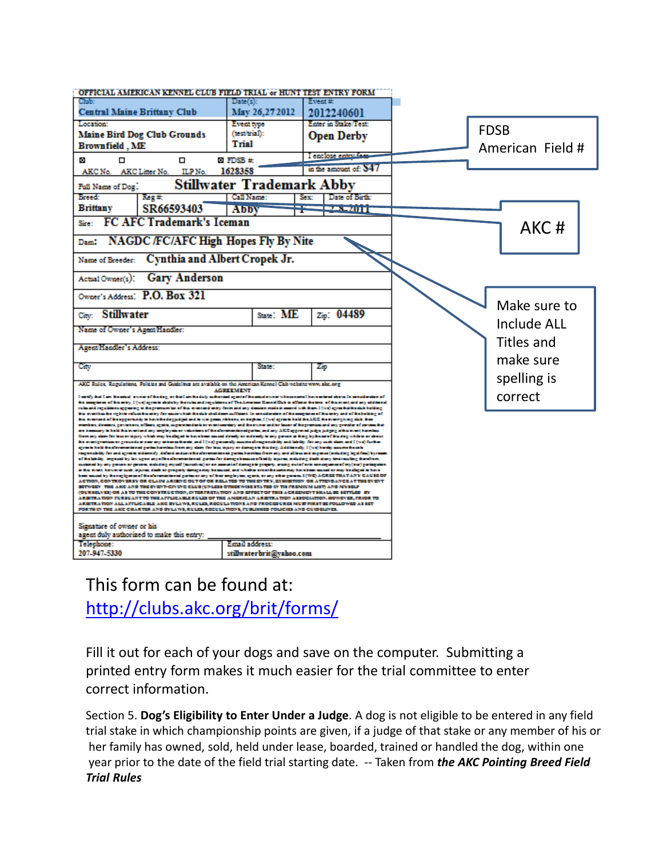| OFFICIAL AMERICAN KENNEL CLUB FIELD TRIAL or HUNT TEST ENTRY FORM                                                                                                                                                                                                                                                            |                                                                                                                                                                                                                                                                                |                                           |           |                    |
|------------------------------------------------------------------------------------------------------------------------------------------------------------------------------------------------------------------------------------------------------------------------------------------------------------------------------|--------------------------------------------------------------------------------------------------------------------------------------------------------------------------------------------------------------------------------------------------------------------------------|-------------------------------------------|-----------|--------------------|
|                                                                                                                                                                                                                                                                                                                              | $Date(s)$ :                                                                                                                                                                                                                                                                    | <b>Event</b> #                            |           |                    |
| <b>Central Maine Brittany Club</b>                                                                                                                                                                                                                                                                                           | May 26,272012                                                                                                                                                                                                                                                                  | 2012240601<br><b>Enter in Stake/Test:</b> |           |                    |
| Location<br><b>Maine Bird Dog Club Grounds</b>                                                                                                                                                                                                                                                                               | <b>Event type</b><br>(test/trial):                                                                                                                                                                                                                                             | <b>Open Derby</b>                         |           | <b>FDSB</b>        |
| <b>Brownfield</b> , ME                                                                                                                                                                                                                                                                                                       | Trial                                                                                                                                                                                                                                                                          |                                           |           | American Field #   |
| п<br>п<br>п.                                                                                                                                                                                                                                                                                                                 | $\circ$ FDSB $\pm$                                                                                                                                                                                                                                                             | I enclose entry fac                       |           |                    |
| AKC No. AKC Litter No. ILP No.                                                                                                                                                                                                                                                                                               | 1628358                                                                                                                                                                                                                                                                        | in the amount of: \$47                    |           |                    |
| Full Name of Dog.                                                                                                                                                                                                                                                                                                            | Stillwater Trademark Abby                                                                                                                                                                                                                                                      |                                           |           |                    |
| Breed:<br><b>Regit</b>                                                                                                                                                                                                                                                                                                       | Call Name:                                                                                                                                                                                                                                                                     | Sex:<br>Date of Birth:                    |           |                    |
| SR66593403<br><b>Brittany</b>                                                                                                                                                                                                                                                                                                | Abby                                                                                                                                                                                                                                                                           | 1-х дин                                   |           |                    |
| <b>FC AFC Trademark's Iceman</b>                                                                                                                                                                                                                                                                                             |                                                                                                                                                                                                                                                                                |                                           |           |                    |
|                                                                                                                                                                                                                                                                                                                              |                                                                                                                                                                                                                                                                                |                                           |           | AKC#               |
| <b>NAGDC /FC/AFC High Hopes Fly By Nite</b><br>Dam:                                                                                                                                                                                                                                                                          |                                                                                                                                                                                                                                                                                |                                           |           |                    |
| Name of Breeder: Cynthia and Albert Cropek Jr.                                                                                                                                                                                                                                                                               |                                                                                                                                                                                                                                                                                |                                           |           |                    |
| <b>Gary Anderson</b>                                                                                                                                                                                                                                                                                                         |                                                                                                                                                                                                                                                                                |                                           |           |                    |
| Actual Owner(s):                                                                                                                                                                                                                                                                                                             |                                                                                                                                                                                                                                                                                |                                           |           |                    |
| Owner's Address: P.O. Box 321                                                                                                                                                                                                                                                                                                |                                                                                                                                                                                                                                                                                |                                           |           | Make sure to       |
| City: Stillwater                                                                                                                                                                                                                                                                                                             | State: ME                                                                                                                                                                                                                                                                      | Zip: 04489                                |           |                    |
| Name of Owner's Agent Handler:                                                                                                                                                                                                                                                                                               |                                                                                                                                                                                                                                                                                |                                           |           | <b>Include ALL</b> |
|                                                                                                                                                                                                                                                                                                                              |                                                                                                                                                                                                                                                                                |                                           |           | <b>Titles and</b>  |
| Agent Handler's Address:                                                                                                                                                                                                                                                                                                     |                                                                                                                                                                                                                                                                                |                                           | make sure |                    |
| Cav                                                                                                                                                                                                                                                                                                                          | State:                                                                                                                                                                                                                                                                         | Ζņ                                        |           |                    |
| ARC Rules, Regulations, Policies and Guidelines are available on the American Kennel Club vehate www.ake.org                                                                                                                                                                                                                 |                                                                                                                                                                                                                                                                                |                                           |           | spelling is        |
| I welfy but I am the about money of the day, an but I am be duly authorized agents I have                                                                                                                                                                                                                                    | <b>AGREEMENT</b>                                                                                                                                                                                                                                                               |                                           |           | correct            |
| is angion of history, I (we) grade delaly berekend regulatored The America Kanal Celebration in the cost, and any oblined<br>sin ad repidiras epparing in baprasius ist of his symbol mby farm and my desires matrix marel with hem. I (we) agen but he sich baking i                                                        |                                                                                                                                                                                                                                                                                |                                           |           |                    |
| bis worthin be rightly related is only for man which he skill shall down as finited. In considering of the amgioner of his original of behalding of<br>kia waniana af kanggarianiy ia kara kadagjadgaland ia wingdaa, rikinna, ar ingkia, 2 (wa) agrania kalil ka AKC, ka waningking alah, kair                              |                                                                                                                                                                                                                                                                                |                                           |           |                    |
|                                                                                                                                                                                                                                                                                                                              | nankas, dimiers gevannes, eftars gjark, sepainindaskar avadsardag ast benynn astiertaseraf begravisnast og gradia ef serian bal<br>cary in hold this constant any angley on an valuation of the demonstrategratio, and any AKC aggressed judge, judging at his const, have bee |                                           |           |                    |
| from any siste for low or injery which may be slight in have lower second directly or indirectly in any generate thing by beauted this degree has been shown<br>ka maniprasiwa ni grawakan namany mirana karah, and C(we) garanaly www.adraga sabily and labily. On any wakalaim, and C(we) Curkar                           |                                                                                                                                                                                                                                                                                |                                           |           |                    |
| egen in held its aftermantional gartin harmlas from any skim. For loss, injery or damage in this day, Additionally, C(we) hardly assume the sele<br>ragenskilly for and symbolisticastly, daland and severite alteratorismed gardes barades from any and alters and regence (including legalitate) by a                      |                                                                                                                                                                                                                                                                                |                                           |           |                    |
| of belaktly-ingensity in ugan myafikasiaramainasi gatis iar dangakasusa findiy isjuris, induling daik siary imarauling bankam,<br>makinal by any generous genero, industing my self (membra) or an associated amage in gropoly, white general arts aroung an analysis of general participation                               |                                                                                                                                                                                                                                                                                |                                           |           |                    |
| is his word, however and, injurie, deals or grogorly desage may be eased, and wholese organizations as y have been eased or may be aligned in have<br>kan wuxi ky baagigaan af badaranahaad gatin ar ay af barangkyan, gatin ar ay aha gawa. I (WE) ACREE TRAT ANY CAESE OF                                                  |                                                                                                                                                                                                                                                                                |                                           |           |                    |
| ACTION, CONTROVERIY OR CLAIM ARIEN C OUT OF OR RELATED TO THE ENTRY, EXHIBITION OR ATTENDANCE AT THE EVENT<br>BETWEEN. THE ARC AND THE EVENT-CIVENCICLE IS (UNLESS OTHERWISE STATES OF THE FREMIUM LIST) AND MYSELF                                                                                                          |                                                                                                                                                                                                                                                                                |                                           |           |                    |
| FOUR RELYES OR AR TO THE CONSTRUCTION, INTERFRETATION AND EFFECT OF THIS ACREEMENT SHALL BE SETTLED BY<br>ARRITRATION FURSUANT TO THE AFFLICARLE RULES OF THE AMERICAN ARRITRATION ASSOCIATION, HOWEVER, FRIDE TO<br>ARRITRATION ALL AFFLICARLE AKE EVLAWI, RULEI, RECULATION I AND FROCEDUREL MUST FIRIT DE FOLLOWED AS SET |                                                                                                                                                                                                                                                                                |                                           |           |                    |
| FOR THE NEW ARC CHARTER AND EVILYWE, RELES, RECULATIONS, FUBLISHED FOLICIES AND CUIDELINES.                                                                                                                                                                                                                                  |                                                                                                                                                                                                                                                                                |                                           |           |                    |
| Signature of owner or his                                                                                                                                                                                                                                                                                                    |                                                                                                                                                                                                                                                                                |                                           |           |                    |
| agent duly authorized to make this entry:                                                                                                                                                                                                                                                                                    |                                                                                                                                                                                                                                                                                |                                           |           |                    |
| Telephone:                                                                                                                                                                                                                                                                                                                   | Fmail address:                                                                                                                                                                                                                                                                 |                                           |           |                    |
| 207-947-5330                                                                                                                                                                                                                                                                                                                 | stillwaterbrit@yahoo.com                                                                                                                                                                                                                                                       |                                           |           |                    |

This form can be found at: http://clubs.akc.org/brit/forms/

Fill it out for each of your dogs and save on the computer. Submitting a printed entry form makes it much easier for the trial committee to enter correct information.

Section 5. **Dog's Eligibility to Enter Under a Judge**. A dog is not eligible to be entered in any field trial stake in which championship points are given, if a judge of that stake or any member of his or her family has owned, sold, held under lease, boarded, trained or handled the dog, within one year prior to the date of the field trial starting date. ‐‐ Taken from *the AKC Pointing Breed Field Trial Rules*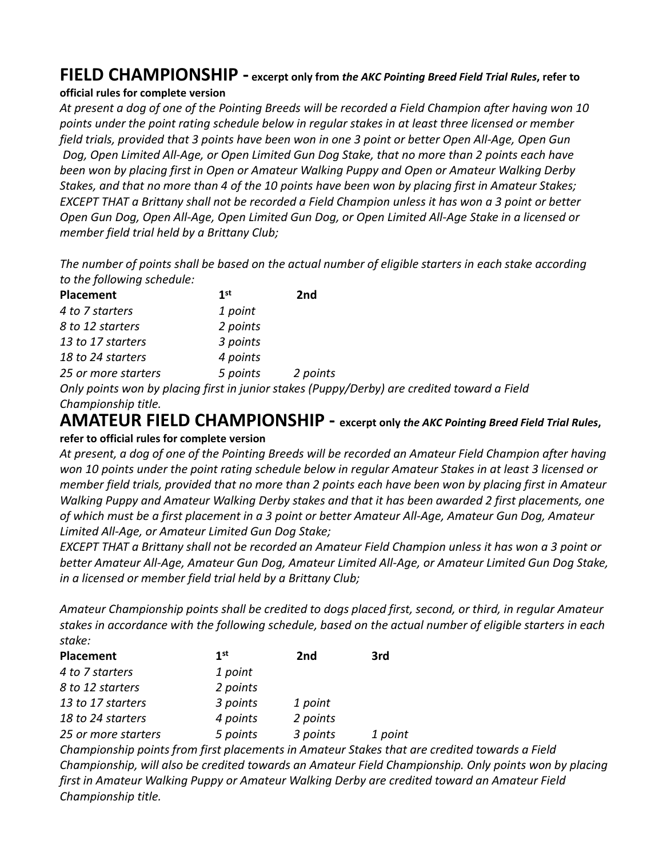# **FIELD CHAMPIONSHIP ‐ excerpt only from** *the AKC Pointing Breed Field Trial Rules***, refer to**

#### **official rules for complete version**

*At present a dog of one of the Pointing Breeds will be recorded a Field Champion after having won 10 points under the point rating schedule below in regular stakes in at least three licensed or member field trials, provided that 3 points have been won in one 3 point or better Open All‐Age, Open Gun Dog, Open Limited All‐Age, or Open Limited Gun Dog Stake, that no more than 2 points each have been won by placing first in Open or Amateur Walking Puppy and Open or Amateur Walking Derby Stakes, and that no more than 4 of the 10 points have been won by placing first in Amateur Stakes; EXCEPT THAT a Brittany shall not be recorded a Field Champion unless it has won a 3 point or better Open Gun Dog, Open All‐Age, Open Limited Gun Dog, or Open Limited All‐Age Stake in a licensed or member field trial held by a Brittany Club;*

*The number of points shall be based on the actual number of eligible starters in each stake according to the following schedule:*

| <b>Placement</b>    | 1 <sup>st</sup> | 2nd      |
|---------------------|-----------------|----------|
| 4 to 7 starters     | 1 point         |          |
| 8 to 12 starters    | 2 points        |          |
| 13 to 17 starters   | 3 points        |          |
| 18 to 24 starters   | 4 points        |          |
| 25 or more starters | 5 points        | 2 points |

*Only points won by placing first in junior stakes (Puppy/Derby) are credited toward a Field Championship title.*

#### **AMATEUR FIELD CHAMPIONSHIP ‐ excerpt only** *the AKC Pointing Breed Field Trial Rules***, refer to official rules for complete version**

*At present, a dog of one of the Pointing Breeds will be recorded an Amateur Field Champion after having won 10 points under the point rating schedule below in regular Amateur Stakes in at least 3 licensed or member field trials, provided that no more than 2 points each have been won by placing first in Amateur Walking Puppy and Amateur Walking Derby stakes and that it has been awarded 2 first placements, one of which must be a first placement in a 3 point or better Amateur All‐Age, Amateur Gun Dog, Amateur Limited All‐Age, or Amateur Limited Gun Dog Stake;*

*EXCEPT THAT a Brittany shall not be recorded an Amateur Field Champion unless it has won a 3 point or better Amateur All‐Age, Amateur Gun Dog, Amateur Limited All‐Age, or Amateur Limited Gun Dog Stake, in a licensed or member field trial held by a Brittany Club;*

*Amateur Championship points shall be credited to dogs placed first, second, or third, in regular Amateur stakes in accordance with the following schedule, based on the actual number of eligible starters in each stake:*

| Placement           | 1st      | 2nd      | 3rd     |
|---------------------|----------|----------|---------|
| 4 to 7 starters     | 1 point  |          |         |
| 8 to 12 starters    | 2 points |          |         |
| 13 to 17 starters   | 3 points | 1 point  |         |
| 18 to 24 starters   | 4 points | 2 points |         |
| 25 or more starters | 5 points | 3 points | 1 point |

*Championship points from first placements in Amateur Stakes that are credited towards a Field Championship, will also be credited towards an Amateur Field Championship. Only points won by placing first in Amateur Walking Puppy or Amateur Walking Derby are credited toward an Amateur Field Championship title.*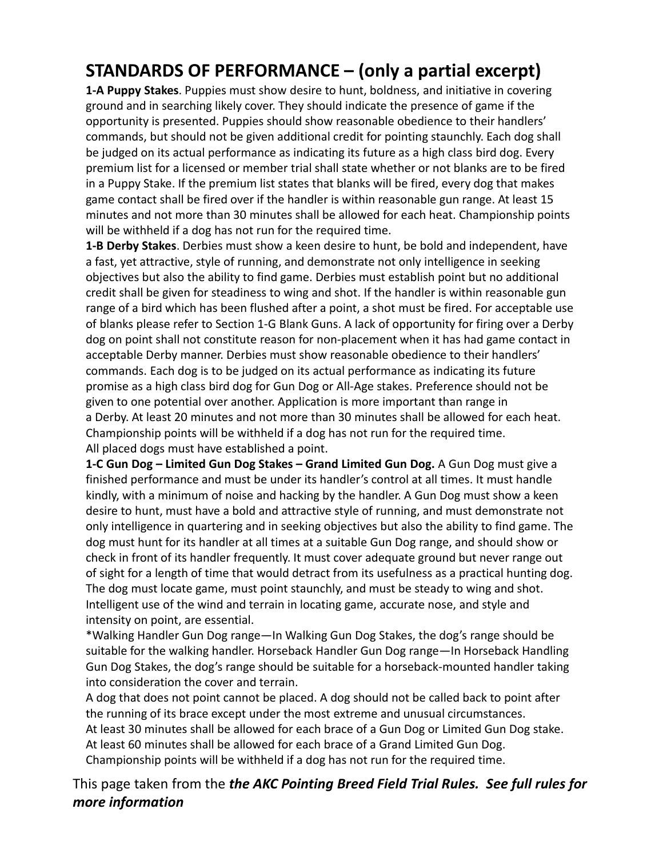# **STANDARDS OF PERFORMANCE – (only a partial excerpt)**

**1‐A Puppy Stakes**. Puppies must show desire to hunt, boldness, and initiative in covering ground and in searching likely cover. They should indicate the presence of game if the opportunity is presented. Puppies should show reasonable obedience to their handlers' commands, but should not be given additional credit for pointing staunchly. Each dog shall be judged on its actual performance as indicating its future as a high class bird dog. Every premium list for a licensed or member trial shall state whether or not blanks are to be fired in a Puppy Stake. If the premium list states that blanks will be fired, every dog that makes game contact shall be fired over if the handler is within reasonable gun range. At least 15 minutes and not more than 30 minutes shall be allowed for each heat. Championship points will be withheld if a dog has not run for the required time.

**1‐B Derby Stakes**. Derbies must show a keen desire to hunt, be bold and independent, have a fast, yet attractive, style of running, and demonstrate not only intelligence in seeking objectives but also the ability to find game. Derbies must establish point but no additional credit shall be given for steadiness to wing and shot. If the handler is within reasonable gun range of a bird which has been flushed after a point, a shot must be fired. For acceptable use of blanks please refer to Section 1‐G Blank Guns. A lack of opportunity for firing over a Derby dog on point shall not constitute reason for non-placement when it has had game contact in acceptable Derby manner. Derbies must show reasonable obedience to their handlers' commands. Each dog is to be judged on its actual performance as indicating its future promise as a high class bird dog for Gun Dog or All‐Age stakes. Preference should not be given to one potential over another. Application is more important than range in a Derby. At least 20 minutes and not more than 30 minutes shall be allowed for each heat. Championship points will be withheld if a dog has not run for the required time. All placed dogs must have established a point.

**1‐C Gun Dog – Limited Gun Dog Stakes – Grand Limited Gun Dog.** A Gun Dog must give a finished performance and must be under its handler's control at all times. It must handle kindly, with a minimum of noise and hacking by the handler. A Gun Dog must show a keen desire to hunt, must have a bold and attractive style of running, and must demonstrate not only intelligence in quartering and in seeking objectives but also the ability to find game. The dog must hunt for its handler at all times at a suitable Gun Dog range, and should show or check in front of its handler frequently. It must cover adequate ground but never range out of sight for a length of time that would detract from its usefulness as a practical hunting dog. The dog must locate game, must point staunchly, and must be steady to wing and shot. Intelligent use of the wind and terrain in locating game, accurate nose, and style and intensity on point, are essential.

\*Walking Handler Gun Dog range—In Walking Gun Dog Stakes, the dog's range should be suitable for the walking handler. Horseback Handler Gun Dog range—In Horseback Handling Gun Dog Stakes, the dog's range should be suitable for a horseback‐mounted handler taking into consideration the cover and terrain.

A dog that does not point cannot be placed. A dog should not be called back to point after the running of its brace except under the most extreme and unusual circumstances. At least 30 minutes shall be allowed for each brace of a Gun Dog or Limited Gun Dog stake. At least 60 minutes shall be allowed for each brace of a Grand Limited Gun Dog. Championship points will be withheld if a dog has not run for the required time.

This page taken from the *the AKC Pointing Breed Field Trial Rules. See full rules for more information*